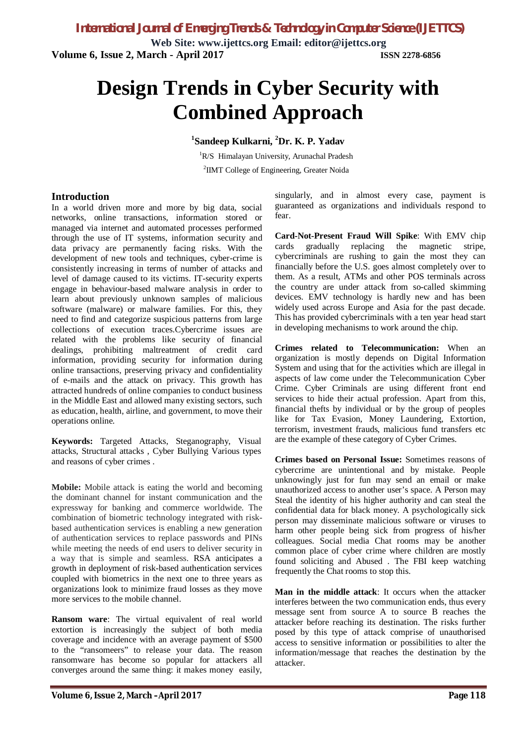*International Journal of Emerging Trends & Technology in Computer Science (IJETTCS)*

**Web Site: www.ijettcs.org Email: editor@ijettcs.org Volume 6, Issue 2, March - April 2017 ISSN 2278-6856**

# **Design Trends in Cyber Security with Combined Approach**

### **1 Sandeep Kulkarni, <sup>2</sup>Dr. K. P. Yadav**

<sup>1</sup>R/S Himalayan University, Arunachal Pradesh <sup>2</sup>IIMT College of Engineering, Greater Noida

#### **Introduction**

In a world driven more and more by big data, social networks, online transactions, information stored or managed via internet and automated processes performed through the use of IT systems, information security and data privacy are permanently facing risks. With the development of new tools and techniques, cyber-crime is consistently increasing in terms of number of attacks and level of damage caused to its victims. IT-security experts engage in behaviour-based malware analysis in order to learn about previously unknown samples of malicious software (malware) or malware families. For this, they need to find and categorize suspicious patterns from large collections of execution traces.Cybercrime issues are related with the problems like security of financial dealings, prohibiting maltreatment of credit card information, providing security for information during online transactions, preserving privacy and confidentiality of e-mails and the attack on privacy. This growth has attracted hundreds of online companies to conduct business in the Middle East and allowed many existing sectors, such as education, health, airline, and government, to move their operations online.

**Keywords:** Targeted Attacks, Steganography, Visual attacks, Structural attacks , Cyber Bullying Various types and reasons of cyber crimes .

**Mobile:** Mobile attack is eating the world and becoming the dominant channel for instant communication and the expressway for banking and commerce worldwide. The combination of biometric technology integrated with riskbased authentication services is enabling a new generation of authentication services to replace passwords and PINs while meeting the needs of end users to deliver security in a way that is simple and seamless. RSA anticipates a growth in deployment of risk-based authentication services coupled with biometrics in the next one to three years as organizations look to minimize fraud losses as they move more services to the mobile channel.

**Ransom ware**: The virtual equivalent of real world extortion is increasingly the subject of both media coverage and incidence with an average payment of \$500 to the "ransomeers" to release your data. The reason ransomware has become so popular for attackers all converges around the same thing: it makes money easily,

singularly, and in almost every case, payment is guaranteed as organizations and individuals respond to fear.

**Card-Not-Present Fraud Will Spike**: With EMV chip cards gradually replacing the magnetic stripe, cybercriminals are rushing to gain the most they can financially before the U.S. goes almost completely over to them. As a result, ATMs and other POS terminals across the country are under attack from so-called skimming devices. EMV technology is hardly new and has been widely used across Europe and Asia for the past decade. This has provided cybercriminals with a ten year head start in developing mechanisms to work around the chip.

**Crimes related to Telecommunication:** When an organization is mostly depends on Digital Information System and using that for the activities which are illegal in aspects of law come under the Telecommunication Cyber Crime. Cyber Criminals are using different front end services to hide their actual profession. Apart from this, financial thefts by individual or by the group of peoples like for Tax Evasion, Money Laundering, Extortion, terrorism, investment frauds, malicious fund transfers etc are the example of these category of Cyber Crimes.

**Crimes based on Personal Issue:** Sometimes reasons of cybercrime are unintentional and by mistake. People unknowingly just for fun may send an email or make unauthorized access to another user's space. A Person may Steal the identity of his higher authority and can steal the confidential data for black money. A psychologically sick person may disseminate malicious software or viruses to harm other people being sick from progress of his/her colleagues. Social media Chat rooms may be another common place of cyber crime where children are mostly found soliciting and Abused . The FBI keep watching frequently the Chat rooms to stop this.

**Man in the middle attack**: It occurs when the attacker interferes between the two communication ends, thus every message sent from source A to source B reaches the attacker before reaching its destination. The risks further posed by this type of attack comprise of unauthorised access to sensitive information or possibilities to alter the information/message that reaches the destination by the attacker.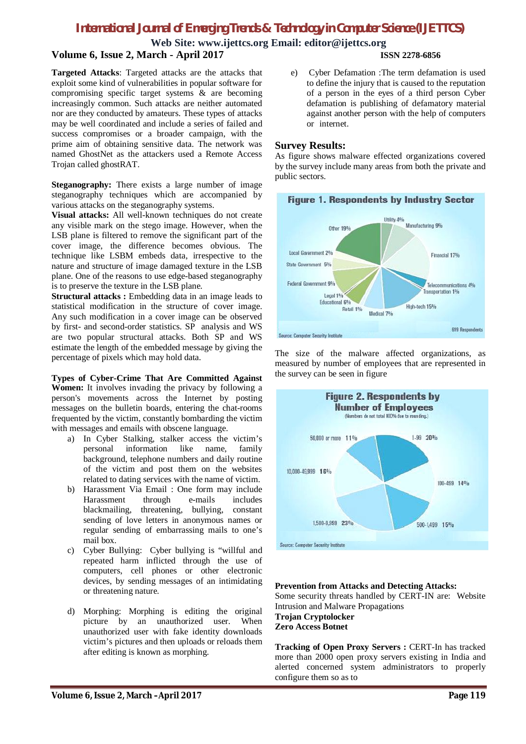# *International Journal of Emerging Trends & Technology in Computer Science (IJETTCS)*

**Web Site: www.ijettcs.org Email: editor@ijettcs.org**

# **Volume 6, Issue 2, March - April 2017 ISSN 2278-6856**

**Targeted Attacks**: Targeted attacks are the attacks that exploit some kind of vulnerabilities in popular software for compromising specific target systems & are becoming increasingly common. Such attacks are neither automated nor are they conducted by amateurs. These types of attacks may be well coordinated and include a series of failed and success compromises or a broader campaign, with the prime aim of obtaining sensitive data. The network was named GhostNet as the attackers used a Remote Access Trojan called ghostRAT.

**Steganography:** There exists a large number of image steganography techniques which are accompanied by various attacks on the steganography systems.

**Visual attacks:** All well-known techniques do not create any visible mark on the stego image. However, when the LSB plane is filtered to remove the significant part of the cover image, the difference becomes obvious. The technique like LSBM embeds data, irrespective to the nature and structure of image damaged texture in the LSB plane. One of the reasons to use edge-based steganography is to preserve the texture in the LSB plane.

**Structural attacks :** Embedding data in an image leads to statistical modification in the structure of cover image. Any such modification in a cover image can be observed by first- and second-order statistics. SP analysis and WS are two popular structural attacks. Both SP and WS estimate the length of the embedded message by giving the percentage of pixels which may hold data.

**Types of Cyber-Crime That Are Committed Against Women:** It involves invading the privacy by following a person's movements across the Internet by posting messages on the bulletin boards, entering the chat-rooms frequented by the victim, constantly bombarding the victim with messages and emails with obscene language.

- a) In Cyber Stalking, stalker access the victim's personal information like name, family background, telephone numbers and daily routine of the victim and post them on the websites related to dating services with the name of victim.
- b) Harassment Via Email : One form may include Harassment through e-mails includes blackmailing, threatening, bullying, constant sending of love letters in anonymous names or regular sending of embarrassing mails to one's mail box.
- c) Cyber Bullying: Cyber bullying is "willful and repeated harm inflicted through the use of computers, cell phones or other electronic devices, by sending messages of an intimidating or threatening nature.
- d) Morphing: Morphing is editing the original picture by an unauthorized user. When unauthorized user with fake identity downloads victim's pictures and then uploads or reloads them after editing is known as morphing.

e) Cyber Defamation :The term defamation is used to define the injury that is caused to the reputation of a person in the eyes of a third person Cyber defamation is publishing of defamatory material against another person with the help of computers or internet.

#### **Survey Results:**

As figure shows malware effected organizations covered by the survey include many areas from both the private and public sectors.



The size of the malware affected organizations, as measured by number of employees that are represented in the survey can be seen in figure



**Prevention from Attacks and Detecting Attacks:**  Some security threats handled by CERT-IN are: Website Intrusion and Malware Propagations **Trojan Cryptolocker Zero Access Botnet**

**Tracking of Open Proxy Servers :** CERT-In has tracked more than 2000 open proxy servers existing in India and alerted concerned system administrators to properly configure them so as to